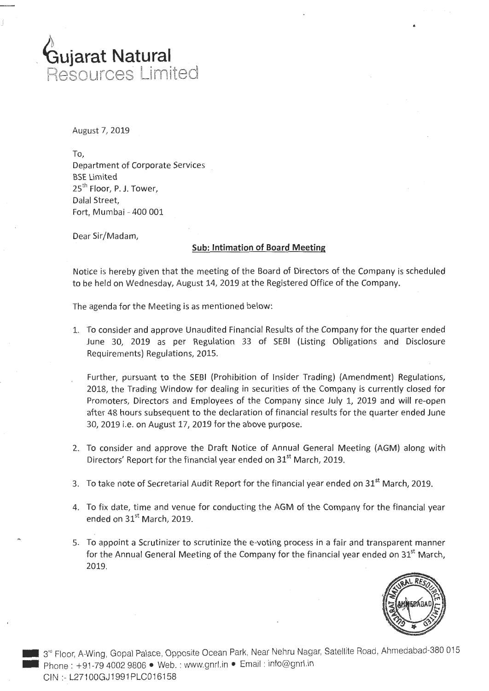

August 7, 2019

j

To, Department of Corporate Services BSE Limited  $25<sup>th</sup>$  Floor, P. J. Tower, Dalal Street, Fort, Mumbai - 400 001

Dear Sir/Madam,

## **Sub: Intimation of Board Meeting**

Notice is hereby given that the meeting of the Board of Directors of the Company is scheduled to be held on Wednesday, August 14, 2019 at the Registered Office of the Company.

The agenda for the Meeting is as mentioned below:

- 1. To consider and approve Unaudited Financial Results of the Company for the quarter ended June 30, 2019 as per Regulation 33 of SEBI (Listing Obligations and Disclosure Requirements) Regulations, 2015.
	- Further, pursuant to the SEBI (Prohibition of Insider Trading) (Amendment) Regulations, 2018, the Trading Window for dealing in securities of the Company is currently closed for Promoters, Directors and Employees of the Company since July 1, 2019 and will re-open after 48 hours subsequent to the declaration of financial results for the quarter ended June 30, 2019 i.e. on August 17, 2019 for the above purpose.
- 2. To consider and approve the Draft Notice of Annual General Meeting (AGM) along with Directors' Report for the financial year ended on 31<sup>st</sup> March, 2019.
- 3. To take note of Secretarial Audit Report for the financial year ended on  $31<sup>st</sup>$  March, 2019.
- 4. To fix date, time and venue for conducting the AGM of the Company for the financial year ended on  $31<sup>st</sup>$  March, 2019.
- 5. To appoint a Scrutinizer to scrutinize the e-voting process in a fair and transparent manner for the Annual General Meeting of the Company for the financial year ended on  $31<sup>st</sup>$  March, 2019.



•

3<sup>rd</sup> Floor, A-Wing, Gopal Palace, Opposite Ocean Park, Near Nehru Nagar, Satellite Road, Ahmedabad-380 015 - Phone: +91-79 4002 9806 • Web. : www.gnrl.in • Email: info@gnrl.in CIN :- L27100GJ1991PLC016158